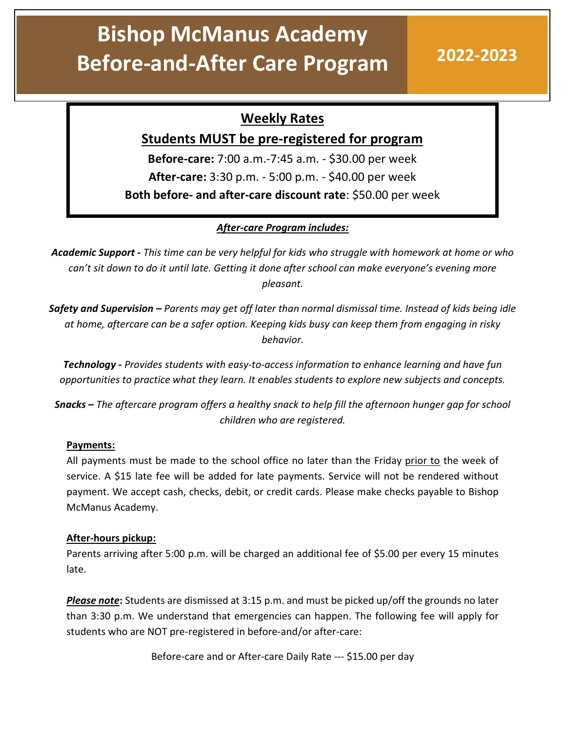# Bishop McManus Academy Before-and-After Care Program 2022-2023

## Weekly Rates

### Students MUST be pre-registered for program

Before-care: 7:00 a.m.-7:45 a.m. - \$30.00 per week After-care: 3:30 p.m. - 5:00 p.m. - \$40.00 per week Both before- and after-care discount rate: \$50.00 per week

### After-care Program includes:

Academic Support - This time can be very helpful for kids who struggle with homework at home or who can't sit down to do it until late. Getting it done after school can make everyone's evening more pleasant.

**Safety and Supervision –** Parents may get off later than normal dismissal time. Instead of kids being idle at home, aftercare can be a safer option. Keeping kids busy can keep them from engaging in risky behavior.

Technology - Provides students with easy-to-access information to enhance learning and have fun opportunities to practice what they learn. It enables students to explore new subjects and concepts.

Snacks – The aftercare program offers a healthy snack to help fill the afternoon hunger gap for school children who are registered.

### Payments:

All payments must be made to the school office no later than the Friday prior to the week of service. A \$15 late fee will be added for late payments. Service will not be rendered without payment. We accept cash, checks, debit, or credit cards. Please make checks payable to Bishop McManus Academy.

### After-hours pickup:

Parents arriving after 5:00 p.m. will be charged an additional fee of \$5.00 per every 15 minutes late.

Please note: Students are dismissed at 3:15 p.m. and must be picked up/off the grounds no later than 3:30 p.m. We understand that emergencies can happen. The following fee will apply for students who are NOT pre-registered in before-and/or after-care:

Before-care and or After-care Daily Rate --- \$15.00 per day